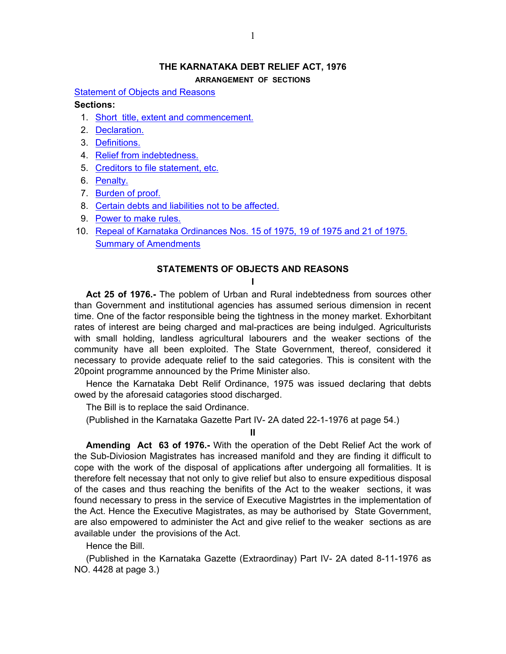## **THE KARNATAKA DEBT RELIEF ACT, 1976**

**ARRANGEMENT OF SECTIONS**

<span id="page-0-0"></span>[Statement of Objects and Reasons](#page-0-0)

# **Sections:**

- 1. [Short title, extent and commencement.](#page-1-0)
- 2. [Declaration.](#page-1-0)
- 3. [Definitions.](#page-1-0)
- 4. [Relief from indebtedness.](#page-2-0)
- 5. [Creditors to file statement, etc.](#page-3-0)
- 6. [Penalty.](#page-4-0)
- 7. [Burden of proof.](#page-5-0)
- 8. [Certain debts and liabilities not to be affected.](#page-5-0)
- 9. [Power to make rules.](#page-5-0)
- 10. [Repeal of Karnataka Ordinances Nos. 15 of 1975, 19 of 1975 and 21 of 1975.](#page-5-0) [Summary of Amendments](#page-6-0)

## **STATEMENTS OF OBJECTS AND REASONS**

**I** 

 **Act 25 of 1976.-** The poblem of Urban and Rural indebtedness from sources other than Government and institutional agencies has assumed serious dimension in recent time. One of the factor responsible being the tightness in the money market. Exhorbitant rates of interest are being charged and mal-practices are being indulged. Agriculturists with small holding, landless agricultural labourers and the weaker sections of the community have all been exploited. The State Government, thereof, considered it necessary to provide adequate relief to the said categories. This is consitent with the 20point programme announced by the Prime Minister also.

 Hence the Karnataka Debt Relif Ordinance, 1975 was issued declaring that debts owed by the aforesaid catagories stood discharged.

The Bill is to replace the said Ordinance.

(Published in the Karnataka Gazette Part IV- 2A dated 22-1-1976 at page 54.)

**II**

**Amending Act 63 of 1976.-** With the operation of the Debt Relief Act the work of the Sub-Diviosion Magistrates has increased manifold and they are finding it difficult to cope with the work of the disposal of applications after undergoing all formalities. It is therefore felt necessay that not only to give relief but also to ensure expeditious disposal of the cases and thus reaching the benifits of the Act to the weaker sections, it was found necessary to press in the service of Executive Magistrtes in the implementation of the Act. Hence the Executive Magistrates, as may be authorised by State Government, are also empowered to administer the Act and give relief to the weaker sections as are available under the provisions of the Act.

Hence the Bill.

 (Published in the Karnataka Gazette (Extraordinay) Part IV- 2A dated 8-11-1976 as NO. 4428 at page 3.)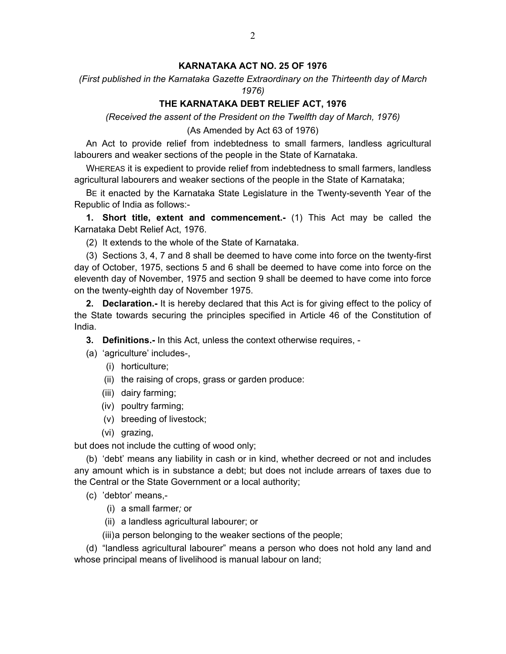# **KARNATAKA ACT NO. 25 OF 1976**

<span id="page-1-0"></span>*(First published in the Karnataka Gazette Extraordinary on the Thirteenth day of March 1976)*

# **THE KARNATAKA DEBT RELIEF ACT, 1976**

*(Received the assent of the President on the Twelfth day of March, 1976)*

(As Amended by Act 63 of 1976)

 An Act to provide relief from indebtedness to small farmers, landless agricultural labourers and weaker sections of the people in the State of Karnataka.

 WHEREAS it is expedient to provide relief from indebtedness to small farmers, landless agricultural labourers and weaker sections of the people in the State of Karnataka;

 BE it enacted by the Karnataka State Legislature in the Twenty-seventh Year of the Republic of India as follows:-

**1. Short title, extent and commencement.-** (1) This Act may be called the Karnataka Debt Relief Act, 1976.

(2) It extends to the whole of the State of Karnataka.

 (3) Sections 3, 4, 7 and 8 shall be deemed to have come into force on the twenty-first day of October, 1975, sections 5 and 6 shall be deemed to have come into force on the eleventh day of November, 1975 and section 9 shall be deemed to have come into force on the twenty-eighth day of November 1975.

**2. Declaration.-** It is hereby declared that this Act is for giving effect to the policy of the State towards securing the principles specified in Article 46 of the Constitution of India.

**3. Definitions.-** In this Act, unless the context otherwise requires, -

(a) 'agriculture' includes-,

- (i) horticulture;
- (ii) the raising of crops, grass or garden produce:
- (iii) dairy farming;
- (iv) poultry farming;
- (v) breeding of livestock;
- (vi) grazing,

but does not include the cutting of wood only;

 (b) 'debt' means any liability in cash or in kind, whether decreed or not and includes any amount which is in substance a debt; but does not include arrears of taxes due to the Central or the State Government or a local authority;

(c) 'debtor' means,-

- (i) a small farmer*;* or
- (ii) a landless agricultural labourer; or

(iii) a person belonging to the weaker sections of the people;

 (d) "landless agricultural labourer" means a person who does not hold any land and whose principal means of livelihood is manual labour on land;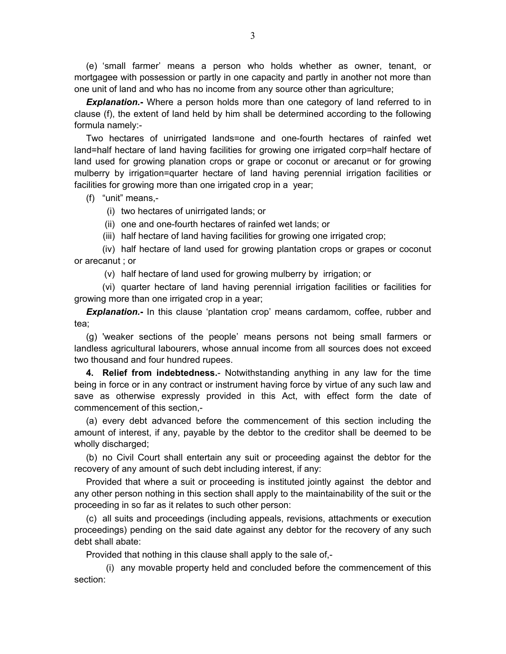<span id="page-2-0"></span> (e) 'small farmer' means a person who holds whether as owner, tenant, or mortgagee with possession or partly in one capacity and partly in another not more than one unit of land and who has no income from any source other than agriculture;

*Explanation.***-** Where a person holds more than one category of land referred to in clause (f), the extent of land held by him shall be determined according to the following formula namely:-

 Two hectares of unirrigated lands=one and one-fourth hectares of rainfed wet land=half hectare of land having facilities for growing one irrigated corp=half hectare of land used for growing planation crops or grape or coconut or arecanut or for growing mulberry by irrigation=quarter hectare of land having perennial irrigation facilities or facilities for growing more than one irrigated crop in a year;

(f) "unit" means,-

(i) two hectares of unirrigated lands; or

(ii) one and one-fourth hectares of rainfed wet lands; or

(iii) half hectare of land having facilities for growing one irrigated crop;

 (iv) half hectare of land used for growing plantation crops or grapes or coconut or arecanut ; or

(v) half hectare of land used for growing mulberry by irrigation; or

 (vi) quarter hectare of land having perennial irrigation facilities or facilities for growing more than one irrigated crop in a year;

*Explanation.***-** In this clause 'plantation crop' means cardamom, coffee, rubber and tea;

 (g) 'weaker sections of the people' means persons not being small farmers or landless agricultural labourers, whose annual income from all sources does not exceed two thousand and four hundred rupees.

**4. Relief from indebtedness.**- Notwithstanding anything in any law for the time being in force or in any contract or instrument having force by virtue of any such law and save as otherwise expressly provided in this Act, with effect form the date of commencement of this section,-

 (a) every debt advanced before the commencement of this section including the amount of interest, if any, payable by the debtor to the creditor shall be deemed to be wholly discharged;

 (b) no Civil Court shall entertain any suit or proceeding against the debtor for the recovery of any amount of such debt including interest, if any:

 Provided that where a suit or proceeding is instituted jointly against the debtor and any other person nothing in this section shall apply to the maintainability of the suit or the proceeding in so far as it relates to such other person:

 (c) all suits and proceedings (including appeals, revisions, attachments or execution proceedings) pending on the said date against any debtor for the recovery of any such debt shall abate:

Provided that nothing in this clause shall apply to the sale of,-

 (i) any movable property held and concluded before the commencement of this section: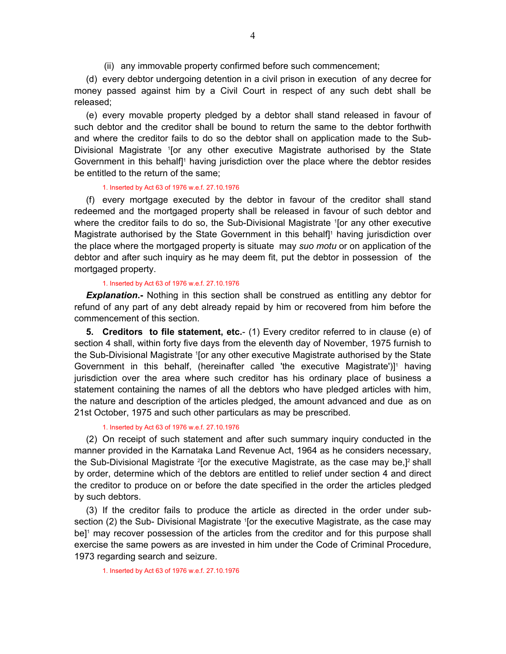(ii) any immovable property confirmed before such commencement;

<span id="page-3-0"></span> (d) every debtor undergoing detention in a civil prison in execution of any decree for money passed against him by a Civil Court in respect of any such debt shall be released;

 (e) every movable property pledged by a debtor shall stand released in favour of such debtor and the creditor shall be bound to return the same to the debtor forthwith and where the creditor fails to do so the debtor shall on application made to the Sub-Divisional Magistrate <sup>1</sup> [or any other executive Magistrate authorised by the State Government in this behalf]<sup>1</sup> having jurisdiction over the place where the debtor resides be entitled to the return of the same;

### 1. Inserted by Act 63 of 1976 w.e.f. 27.10.1976

 (f) every mortgage executed by the debtor in favour of the creditor shall stand redeemed and the mortgaged property shall be released in favour of such debtor and where the creditor fails to do so, the Sub-Divisional Magistrate <sup>1</sup>[or any other executive Magistrate authorised by the State Government in this behalf<sup>1</sup> having jurisdiction over the place where the mortgaged property is situate may *suo motu* or on application of the debtor and after such inquiry as he may deem fit, put the debtor in possession of the mortgaged property.

### 1. Inserted by Act 63 of 1976 w.e.f. 27.10.1976

**Explanation.**- Nothing in this section shall be construed as entitling any debtor for refund of any part of any debt already repaid by him or recovered from him before the commencement of this section.

**5. Creditors to file statement, etc.**- (1) Every creditor referred to in clause (e) of section 4 shall, within forty five days from the eleventh day of November, 1975 furnish to the Sub-Divisional Magistrate <sup>1</sup>[or any other executive Magistrate authorised by the State Government in this behalf, (hereinafter called 'the executive Magistrate') $]$ <sup>1</sup> having jurisdiction over the area where such creditor has his ordinary place of business a statement containing the names of all the debtors who have pledged articles with him, the nature and description of the articles pledged, the amount advanced and due as on 21st October, 1975 and such other particulars as may be prescribed.

# 1. Inserted by Act 63 of 1976 w.e.f. 27.10.1976

 (2) On receipt of such statement and after such summary inquiry conducted in the manner provided in the Karnataka Land Revenue Act, 1964 as he considers necessary, the Sub-Divisional Magistrate <sup>2</sup>[or the executive Magistrate, as the case may be,]<sup>2</sup> shall by order, determine which of the debtors are entitled to relief under section 4 and direct the creditor to produce on or before the date specified in the order the articles pledged by such debtors.

 (3) If the creditor fails to produce the article as directed in the order under subsection (2) the Sub- Divisional Magistrate <sup>1</sup> [or the executive Magistrate, as the case may be]<sup>1</sup> may recover possession of the articles from the creditor and for this purpose shall exercise the same powers as are invested in him under the Code of Criminal Procedure, 1973 regarding search and seizure.

1. Inserted by Act 63 of 1976 w.e.f. 27.10.1976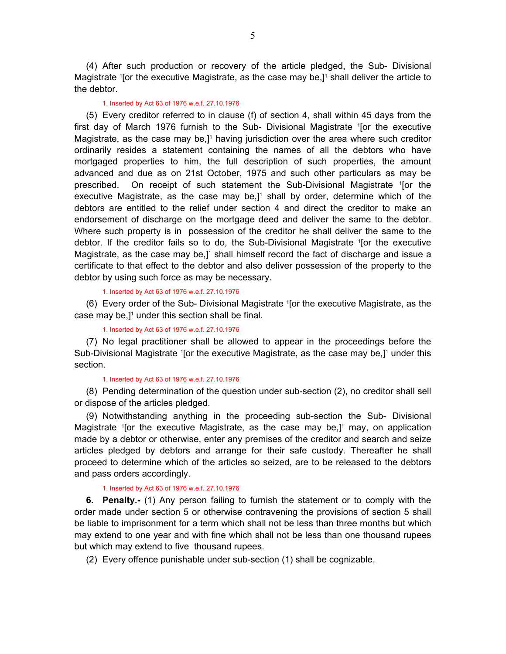<span id="page-4-0"></span> (4) After such production or recovery of the article pledged, the Sub- Divisional Magistrate <sup>1</sup> [or the executive Magistrate, as the case may be,]<sup>1</sup> shall deliver the article to the debtor.

#### 1. Inserted by Act 63 of 1976 w.e.f. 27.10.1976

 (5) Every creditor referred to in clause (f) of section 4, shall within 45 days from the first day of March 1976 furnish to the Sub- Divisional Magistrate 1 [or the executive Magistrate, as the case may be,]<sup>1</sup> having jurisdiction over the area where such creditor ordinarily resides a statement containing the names of all the debtors who have mortgaged properties to him, the full description of such properties, the amount advanced and due as on 21st October, 1975 and such other particulars as may be prescribed. On receipt of such statement the Sub-Divisional Magistrate 1 [or the executive Magistrate, as the case may be, $]$ <sup>1</sup> shall by order, determine which of the debtors are entitled to the relief under section 4 and direct the creditor to make an endorsement of discharge on the mortgage deed and deliver the same to the debtor. Where such property is in possession of the creditor he shall deliver the same to the debtor. If the creditor fails so to do, the Sub-Divisional Magistrate 1 [or the executive Magistrate, as the case may be,]<sup>1</sup> shall himself record the fact of discharge and issue a certificate to that effect to the debtor and also deliver possession of the property to the debtor by using such force as may be necessary.

#### 1. Inserted by Act 63 of 1976 w.e.f. 27.10.1976

 (6) Every order of the Sub- Divisional Magistrate 1 [or the executive Magistrate, as the case may be, $]$ <sup>1</sup> under this section shall be final.

#### 1. Inserted by Act 63 of 1976 w.e.f. 27.10.1976

 (7) No legal practitioner shall be allowed to appear in the proceedings before the Sub-Divisional Magistrate <sup>1</sup>[or the executive Magistrate, as the case may be,]<sup>1</sup> under this section.

#### 1. Inserted by Act 63 of 1976 w.e.f. 27.10.1976

 (8) Pending determination of the question under sub-section (2), no creditor shall sell or dispose of the articles pledged.

 (9) Notwithstanding anything in the proceeding sub-section the Sub- Divisional Magistrate <sup>1</sup> [or the executive Magistrate, as the case may be,]<sup>1</sup> may, on application made by a debtor or otherwise, enter any premises of the creditor and search and seize articles pledged by debtors and arrange for their safe custody. Thereafter he shall proceed to determine which of the articles so seized, are to be released to the debtors and pass orders accordingly.

# 1. Inserted by Act 63 of 1976 w.e.f. 27.10.1976

 **6. Penalty.-** (1) Any person failing to furnish the statement or to comply with the order made under section 5 or otherwise contravening the provisions of section 5 shall be liable to imprisonment for a term which shall not be less than three months but which may extend to one year and with fine which shall not be less than one thousand rupees but which may extend to five thousand rupees.

(2) Every offence punishable under sub-section (1) shall be cognizable.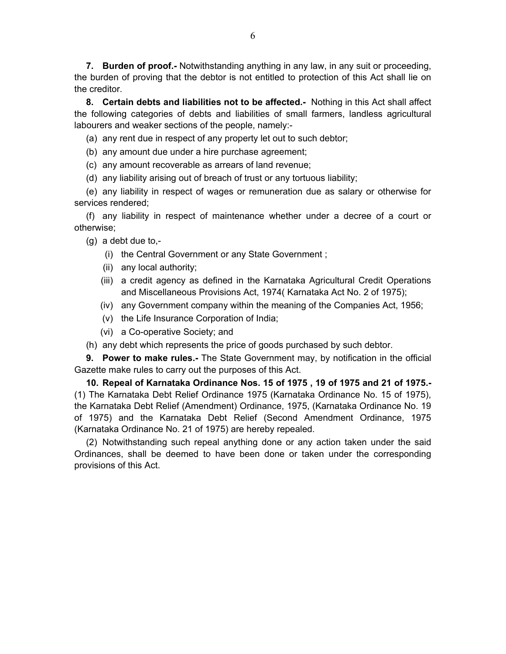<span id="page-5-0"></span> **7. Burden of proof.-** Notwithstanding anything in any law, in any suit or proceeding, the burden of proving that the debtor is not entitled to protection of this Act shall lie on the creditor.

 **8. Certain debts and liabilities not to be affected.-** Nothing in this Act shall affect the following categories of debts and liabilities of small farmers, landless agricultural labourers and weaker sections of the people, namely:-

(a) any rent due in respect of any property let out to such debtor;

- (b) any amount due under a hire purchase agreement;
- (c) any amount recoverable as arrears of land revenue;
- (d) any liability arising out of breach of trust or any tortuous liability;

 (e) any liability in respect of wages or remuneration due as salary or otherwise for services rendered;

 (f) any liability in respect of maintenance whether under a decree of a court or otherwise;

 $(g)$  a debt due to,-

- (i) the Central Government or any State Government ;
- (ii) any local authority;
- (iii) a credit agency as defined in the Karnataka Agricultural Credit Operations and Miscellaneous Provisions Act, 1974( Karnataka Act No. 2 of 1975);
- (iv) any Government company within the meaning of the Companies Act, 1956;
- (v) the Life Insurance Corporation of India;
- (vi) a Co-operative Society; and
- (h) any debt which represents the price of goods purchased by such debtor.

 **9. Power to make rules.-** The State Government may, by notification in the official Gazette make rules to carry out the purposes of this Act.

 **10. Repeal of Karnataka Ordinance Nos. 15 of 1975 , 19 of 1975 and 21 of 1975.-** (1) The Karnataka Debt Relief Ordinance 1975 (Karnataka Ordinance No. 15 of 1975), the Karnataka Debt Relief (Amendment) Ordinance, 1975, (Karnataka Ordinance No. 19 of 1975) and the Karnataka Debt Relief (Second Amendment Ordinance, 1975 (Karnataka Ordinance No. 21 of 1975) are hereby repealed.

 (2) Notwithstanding such repeal anything done or any action taken under the said Ordinances, shall be deemed to have been done or taken under the corresponding provisions of this Act.